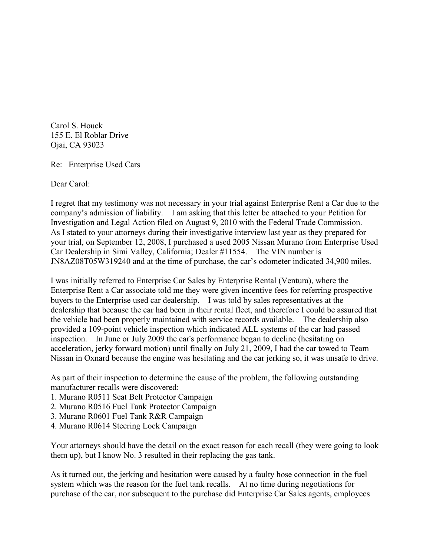Carol S. Houck 155 E. El Roblar Drive Ojai, CA 93023

Re: Enterprise Used Cars

Dear Carol:

I regret that my testimony was not necessary in your trial against Enterprise Rent a Car due to the company's admission of liability. I am asking that this letter be attached to your Petition for Investigation and Legal Action filed on August 9, 2010 with the Federal Trade Commission. As I stated to your attorneys during their investigative interview last year as they prepared for your trial, on September 12, 2008, I purchased a used 2005 Nissan Murano from Enterprise Used Car Dealership in Simi Valley, California; Dealer #11554. The VIN number is JN8AZ08T05W319240 and at the time of purchase, the car's odometer indicated 34,900 miles.

I was initially referred to Enterprise Car Sales by Enterprise Rental (Ventura), where the Enterprise Rent a Car associate told me they were given incentive fees for referring prospective buyers to the Enterprise used car dealership. I was told by sales representatives at the dealership that because the car had been in their rental fleet, and therefore I could be assured that the vehicle had been properly maintained with service records available. The dealership also provided a 109-point vehicle inspection which indicated ALL systems of the car had passed inspection. In June or July 2009 the car's performance began to decline (hesitating on acceleration, jerky forward motion) until finally on July 21, 2009, I had the car towed to Team Nissan in Oxnard because the engine was hesitating and the car jerking so, it was unsafe to drive.

As part of their inspection to determine the cause of the problem, the following outstanding manufacturer recalls were discovered:

- 1. Murano R0511 Seat Belt Protector Campaign
- 2. Murano R0516 Fuel Tank Protector Campaign
- 3. Murano R0601 Fuel Tank R&R Campaign
- 4. Murano R0614 Steering Lock Campaign

Your attorneys should have the detail on the exact reason for each recall (they were going to look them up), but I know No. 3 resulted in their replacing the gas tank.

As it turned out, the jerking and hesitation were caused by a faulty hose connection in the fuel system which was the reason for the fuel tank recalls. At no time during negotiations for purchase of the car, nor subsequent to the purchase did Enterprise Car Sales agents, employees